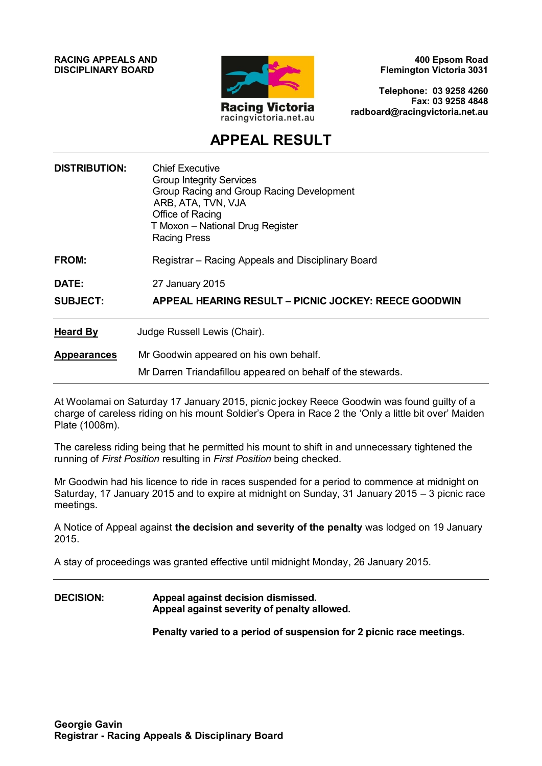**RACING APPEALS AND DISCIPLINARY BOARD**



**400 Epsom Road Flemington Victoria 3031**

**Telephone: 03 9258 4260 Fax: 03 9258 4848 radboard@racingvictoria.net.au**

## **APPEAL RESULT**

| <b>DISTRIBUTION:</b> | <b>Chief Executive</b><br><b>Group Integrity Services</b><br>Group Racing and Group Racing Development<br>ARB, ATA, TVN, VJA<br>Office of Racing<br>T Moxon - National Drug Register<br><b>Racing Press</b> |
|----------------------|-------------------------------------------------------------------------------------------------------------------------------------------------------------------------------------------------------------|
| FROM:                | Registrar – Racing Appeals and Disciplinary Board                                                                                                                                                           |
| DATE:                | 27 January 2015                                                                                                                                                                                             |
| <b>SUBJECT:</b>      | <b>APPEAL HEARING RESULT - PICNIC JOCKEY: REECE GOODWIN</b>                                                                                                                                                 |
| <b>Heard By</b>      | Judge Russell Lewis (Chair).                                                                                                                                                                                |
| <b>Appearances</b>   | Mr Goodwin appeared on his own behalf.                                                                                                                                                                      |
|                      | Mr Darren Triandafillou appeared on behalf of the stewards.                                                                                                                                                 |

At Woolamai on Saturday 17 January 2015, picnic jockey Reece Goodwin was found guilty of a charge of careless riding on his mount Soldier's Opera in Race 2 the 'Only a little bit over' Maiden Plate (1008m).

The careless riding being that he permitted his mount to shift in and unnecessary tightened the running of *First Position* resulting in *First Position* being checked.

Mr Goodwin had his licence to ride in races suspended for a period to commence at midnight on Saturday, 17 January 2015 and to expire at midnight on Sunday, 31 January 2015 – 3 picnic race meetings.

A Notice of Appeal against **the decision and severity of the penalty** was lodged on 19 January 2015.

A stay of proceedings was granted effective until midnight Monday, 26 January 2015.

#### **DECISION: Appeal against decision dismissed. Appeal against severity of penalty allowed.**

**Penalty varied to a period of suspension for 2 picnic race meetings.**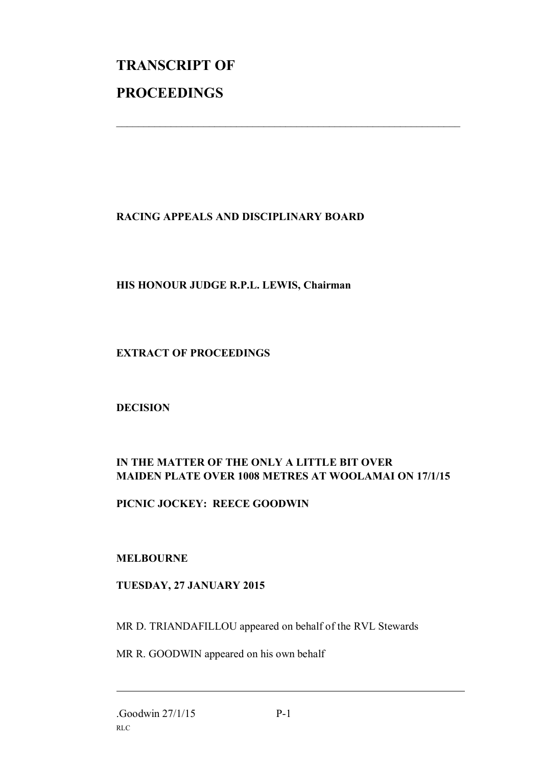# **TRANSCRIPT OF PROCEEDINGS**

### **RACING APPEALS AND DISCIPLINARY BOARD**

 $\mathcal{L}_\text{max}$  , and the contribution of the contribution of the contribution of the contribution of the contribution of the contribution of the contribution of the contribution of the contribution of the contribution of t

#### **HIS HONOUR JUDGE R.P.L. LEWIS, Chairman**

#### **EXTRACT OF PROCEEDINGS**

#### **DECISION**

### **IN THE MATTER OF THE ONLY A LITTLE BIT OVER MAIDEN PLATE OVER 1008 METRES AT WOOLAMAI ON 17/1/15**

#### **PICNIC JOCKEY: REECE GOODWIN**

#### **MELBOURNE**

#### **TUESDAY, 27 JANUARY 2015**

MR D. TRIANDAFILLOU appeared on behalf of the RVL Stewards

MR R. GOODWIN appeared on his own behalf